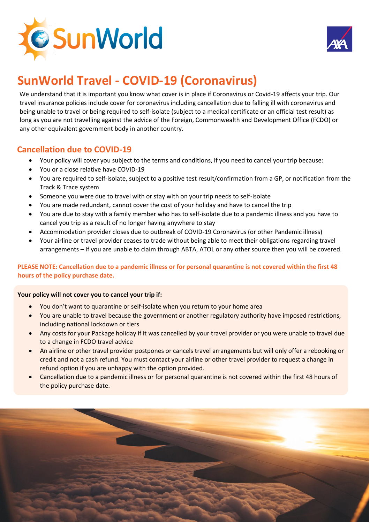



# **SunWorld Travel - COVID-19 (Coronavirus)**

We understand that it is important you know what cover is in place if Coronavirus or Covid-19 affects your trip. Our travel insurance policies include cover for coronavirus including cancellation due to falling ill with coronavirus and being unable to travel or being required to self-isolate (subject to a medical certificate or an official test result) as long as you are not travelling against the advice of the Foreign, Commonwealth and Development Office (FCDO) or any other equivalent government body in another country.

# **Cancellation due to COVID-19**

- Your policy will cover you subject to the terms and conditions, if you need to cancel your trip because:
- You or a close relative have COVID-19
- You are required to self-isolate, subject to a positive test result/confirmation from a GP, or notification from the Track & Trace system
- Someone you were due to travel with or stay with on your trip needs to self-isolate
- You are made redundant, cannot cover the cost of your holiday and have to cancel the trip
- You are due to stay with a family member who has to self-isolate due to a pandemic illness and you have to cancel you trip as a result of no longer having anywhere to stay
- Accommodation provider closes due to outbreak of COVID-19 Coronavirus (or other Pandemic illness)
- Your airline or travel provider ceases to trade without being able to meet their obligations regarding travel arrangements – If you are unable to claim through ABTA, ATOL or any other source then you will be covered.

**PLEASE NOTE: Cancellation due to a pandemic illness or for personal quarantine is not covered within the first 48 hours of the policy purchase date.**

#### **Your policy will not cover you to cancel your trip if:**

- You don't want to quarantine or self-isolate when you return to your home area
- You are unable to travel because the government or another regulatory authority have imposed restrictions, including national lockdown or tiers
- Any costs for your Package holiday if it was cancelled by your travel provider or you were unable to travel due to a change in FCDO travel advice
- An airline or other travel provider postpones or cancels travel arrangements but will only offer a rebooking or credit and not a cash refund. You must contact your airline or other travel provider to request a change in refund option if you are unhappy with the option provided.
- Cancellation due to a pandemic illness or for personal quarantine is not covered within the first 48 hours of the policy purchase date.